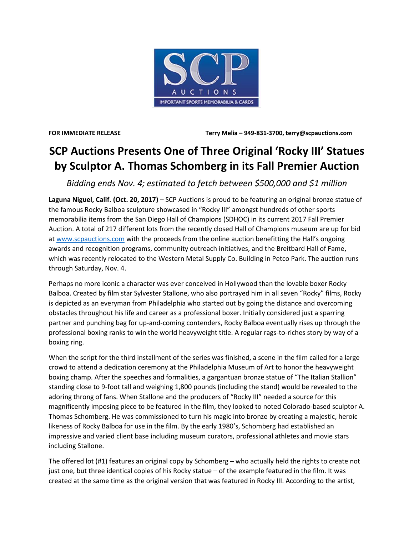

**FOR IMMEDIATE RELEASE Terry Melia – 949-831-3700, terry@scpauctions.com**

## **SCP Auctions Presents One of Three Original 'Rocky III' Statues by Sculptor A. Thomas Schomberg in its Fall Premier Auction**

*Bidding ends Nov. 4; estimated to fetch between \$500,000 and \$1 million*

**Laguna Niguel, Calif. (Oct. 20, 2017)** – SCP Auctions is proud to be featuring an original bronze statue of the famous Rocky Balboa sculpture showcased in "Rocky III" amongst hundreds of other sports memorabilia items from the San Diego Hall of Champions (SDHOC) in its current 2017 Fall Premier Auction. A total of 217 different lots from the recently closed Hall of Champions museum are up for bid a[t www.scpauctions.com](http://www.scpauctions.com/) with the proceeds from the online auction benefitting the Hall's ongoing awards and recognition programs, community outreach initiatives, and the Breitbard Hall of Fame, which was recently relocated to the Western Metal Supply Co. Building in Petco Park. The auction runs through Saturday, Nov. 4.

Perhaps no more iconic a character was ever conceived in Hollywood than the lovable boxer Rocky Balboa. Created by film star Sylvester Stallone, who also portrayed him in all seven "Rocky" films, Rocky is depicted as an everyman from Philadelphia who started out by going the distance and overcoming obstacles throughout his life and career as a professional boxer. Initially considered just a sparring partner and punching bag for up-and-coming contenders, Rocky Balboa eventually rises up through the professional boxing ranks to win the world heavyweight title. A regular rags-to-riches story by way of a boxing ring.

When the script for the third installment of the series was finished, a scene in the film called for a large crowd to attend a dedication ceremony at the Philadelphia Museum of Art to honor the heavyweight boxing champ. After the speeches and formalities, a gargantuan bronze statue of "The Italian Stallion" standing close to 9-foot tall and weighing 1,800 pounds (including the stand) would be revealed to the adoring throng of fans. When Stallone and the producers of "Rocky III" needed a source for this magnificently imposing piece to be featured in the film, they looked to noted Colorado-based sculptor A. Thomas Schomberg. He was commissioned to turn his magic into bronze by creating a majestic, heroic likeness of Rocky Balboa for use in the film. By the early 1980's, Schomberg had established an impressive and varied client base including museum curators, professional athletes and movie stars including Stallone.

The offered lot (#1) features an original copy by Schomberg – who actually held the rights to create not just one, but three identical copies of his Rocky statue – of the example featured in the film. It was created at the same time as the original version that was featured in Rocky III. According to the artist,